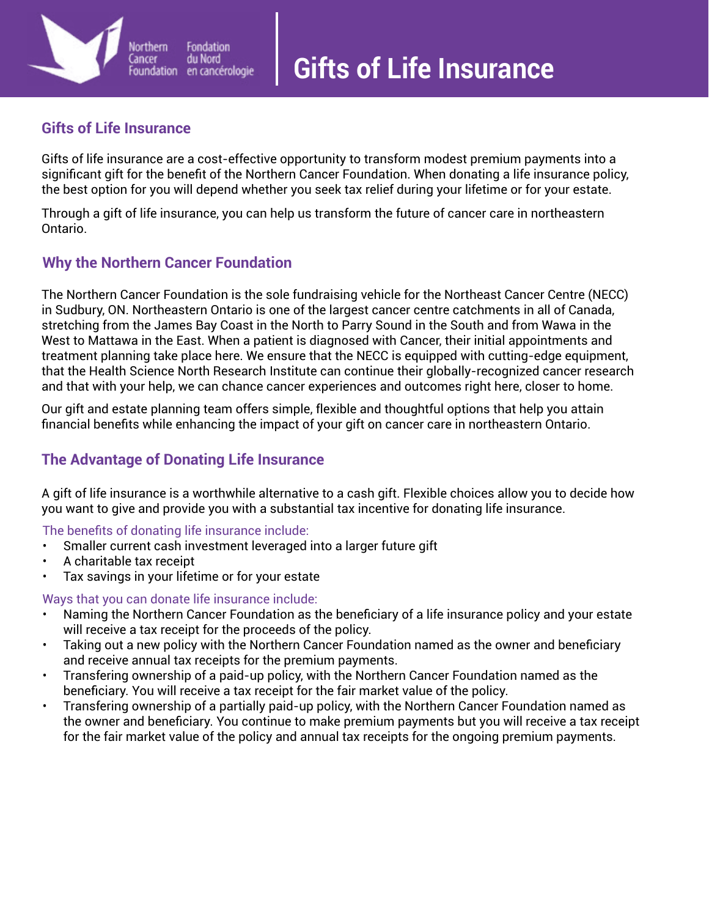## **Gifts of Life Insurance**

Vorthern

Foundation

Cancer

Gifts of life insurance are a cost-effective opportunity to transform modest premium payments into a significant gift for the benefit of the Northern Cancer Foundation. When donating a life insurance policy, the best option for you will depend whether you seek tax relief during your lifetime or for your estate.

Through a gift of life insurance, you can help us transform the future of cancer care in northeastern Ontario.

# **Why the Northern Cancer Foundation**

Fondation

en cancérologie

du Nord

The Northern Cancer Foundation is the sole fundraising vehicle for the Northeast Cancer Centre (NECC) in Sudbury, ON. Northeastern Ontario is one of the largest cancer centre catchments in all of Canada, stretching from the James Bay Coast in the North to Parry Sound in the South and from Wawa in the West to Mattawa in the East. When a patient is diagnosed with Cancer, their initial appointments and treatment planning take place here. We ensure that the NECC is equipped with cutting-edge equipment, that the Health Science North Research Institute can continue their globally-recognized cancer research and that with your help, we can chance cancer experiences and outcomes right here, closer to home.

Our gift and estate planning team offers simple, flexible and thoughtful options that help you attain financial benefits while enhancing the impact of your gift on cancer care in northeastern Ontario.

## **The Advantage of Donating Life Insurance**

A gift of life insurance is a worthwhile alternative to a cash gift. Flexible choices allow you to decide how you want to give and provide you with a substantial tax incentive for donating life insurance.

### The benefits of donating life insurance include:

- Smaller current cash investment leveraged into a larger future gift
- A charitable tax receipt
- Tax savings in your lifetime or for your estate

#### Ways that you can donate life insurance include:

- Naming the Northern Cancer Foundation as the beneficiary of a life insurance policy and your estate will receive a tax receipt for the proceeds of the policy.
- Taking out a new policy with the Northern Cancer Foundation named as the owner and beneficiary and receive annual tax receipts for the premium payments.
- Transfering ownership of a paid-up policy, with the Northern Cancer Foundation named as the beneficiary. You will receive a tax receipt for the fair market value of the policy.
- Transfering ownership of a partially paid-up policy, with the Northern Cancer Foundation named as the owner and beneficiary. You continue to make premium payments but you will receive a tax receipt for the fair market value of the policy and annual tax receipts for the ongoing premium payments.